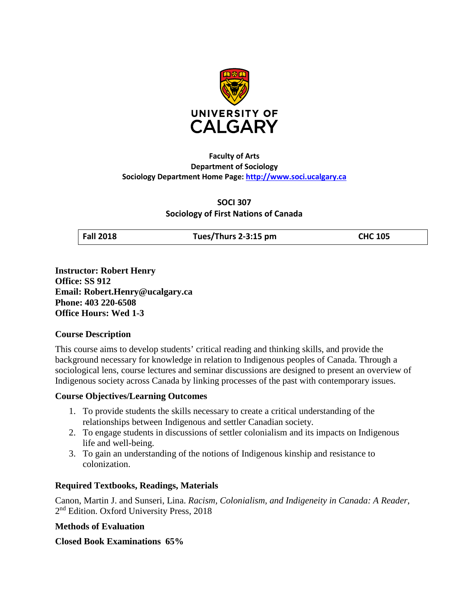

## **Faculty of Arts Department of Sociology Sociology Department Home Page: [http://www.soci.ucalgary.ca](http://www.soci.ucalgary.ca/)**

**SOCI 307 Sociology of First Nations of Canada**

**Fall 2018 Tues/Thurs 2-3:15 pm CHC 105**

**Instructor: Robert Henry Office: SS 912 Email: Robert.Henry@ucalgary.ca Phone: 403 220-6508 Office Hours: Wed 1-3**

## **Course Description**

This course aims to develop students' critical reading and thinking skills, and provide the background necessary for knowledge in relation to Indigenous peoples of Canada. Through a sociological lens, course lectures and seminar discussions are designed to present an overview of Indigenous society across Canada by linking processes of the past with contemporary issues.

## **Course Objectives/Learning Outcomes**

- 1. To provide students the skills necessary to create a critical understanding of the relationships between Indigenous and settler Canadian society.
- 2. To engage students in discussions of settler colonialism and its impacts on Indigenous life and well-being.
- 3. To gain an understanding of the notions of Indigenous kinship and resistance to colonization.

## **Required Textbooks, Readings, Materials**

Canon, Martin J. and Sunseri, Lina. *Racism, Colonialism, and Indigeneity in Canada: A Reader*, 2<sup>nd</sup> Edition. Oxford University Press, 2018

## **Methods of Evaluation**

## **Closed Book Examinations 65%**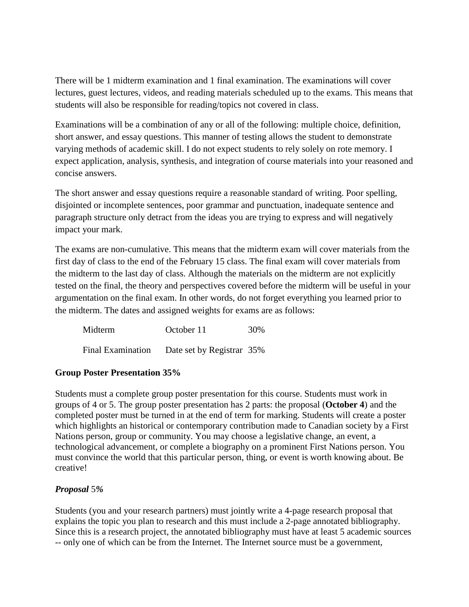There will be 1 midterm examination and 1 final examination. The examinations will cover lectures, guest lectures, videos, and reading materials scheduled up to the exams. This means that students will also be responsible for reading/topics not covered in class.

Examinations will be a combination of any or all of the following: multiple choice, definition, short answer, and essay questions. This manner of testing allows the student to demonstrate varying methods of academic skill. I do not expect students to rely solely on rote memory. I expect application, analysis, synthesis, and integration of course materials into your reasoned and concise answers.

The short answer and essay questions require a reasonable standard of writing. Poor spelling, disjointed or incomplete sentences, poor grammar and punctuation, inadequate sentence and paragraph structure only detract from the ideas you are trying to express and will negatively impact your mark.

The exams are non-cumulative. This means that the midterm exam will cover materials from the first day of class to the end of the February 15 class. The final exam will cover materials from the midterm to the last day of class. Although the materials on the midterm are not explicitly tested on the final, the theory and perspectives covered before the midterm will be useful in your argumentation on the final exam. In other words, do not forget everything you learned prior to the midterm. The dates and assigned weights for exams are as follows:

| Midterm                  | October 11                | 30% |
|--------------------------|---------------------------|-----|
| <b>Final Examination</b> | Date set by Registrar 35% |     |

## **Group Poster Presentation 35%**

Students must a complete group poster presentation for this course. Students must work in groups of 4 or 5. The group poster presentation has 2 parts: the proposal (**October 4**) and the completed poster must be turned in at the end of term for marking. Students will create a poster which highlights an historical or contemporary contribution made to Canadian society by a First Nations person, group or community. You may choose a legislative change, an event, a technological advancement, or complete a biography on a prominent First Nations person. You must convince the world that this particular person, thing, or event is worth knowing about. Be creative!

## *Proposal* 5*%*

Students (you and your research partners) must jointly write a 4-page research proposal that explains the topic you plan to research and this must include a 2-page annotated bibliography. Since this is a research project, the annotated bibliography must have at least 5 academic sources -- only one of which can be from the Internet. The Internet source must be a government,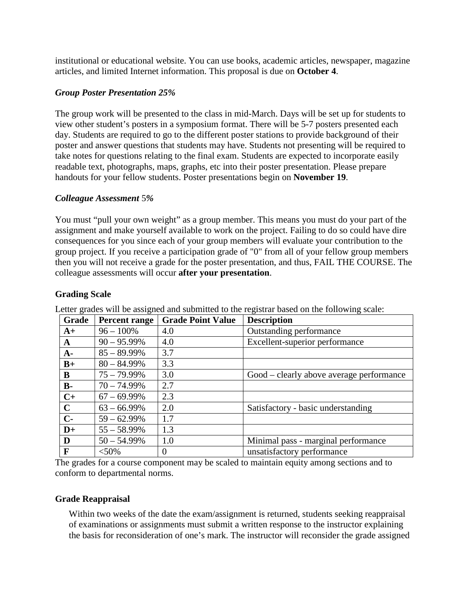institutional or educational website. You can use books, academic articles, newspaper, magazine articles, and limited Internet information. This proposal is due on **October 4**.

## *Group Poster Presentation 25%*

The group work will be presented to the class in mid-March. Days will be set up for students to view other student's posters in a symposium format. There will be 5-7 posters presented each day. Students are required to go to the different poster stations to provide background of their poster and answer questions that students may have. Students not presenting will be required to take notes for questions relating to the final exam. Students are expected to incorporate easily readable text, photographs, maps, graphs, etc into their poster presentation. Please prepare handouts for your fellow students. Poster presentations begin on **November 19**.

## *Colleague Assessment* 5*%*

You must "pull your own weight" as a group member. This means you must do your part of the assignment and make yourself available to work on the project. Failing to do so could have dire consequences for you since each of your group members will evaluate your contribution to the group project. If you receive a participation grade of "0" from all of your fellow group members then you will not receive a grade for the poster presentation, and thus, FAIL THE COURSE. The colleague assessments will occur **after your presentation**.

## **Grading Scale**

| Grade       | <b>Percent range</b> | <b>Grade Point Value</b> | <b>Description</b>                       |
|-------------|----------------------|--------------------------|------------------------------------------|
| $A+$        | $96 - 100\%$         | 4.0                      | Outstanding performance                  |
| A           | $90 - 95.99\%$       | 4.0                      | Excellent-superior performance           |
| $A-$        | $85 - 89.99\%$       | 3.7                      |                                          |
| $B+$        | $80 - 84.99\%$       | 3.3                      |                                          |
| B           | $75 - 79.99\%$       | 3.0                      | Good – clearly above average performance |
| $B -$       | $70 - 74.99\%$       | 2.7                      |                                          |
| $C+$        | $67 - 69.99\%$       | 2.3                      |                                          |
| $\mathbf C$ | $63 - 66.99\%$       | 2.0                      | Satisfactory - basic understanding       |
| $C-$        | $59 - 62.99\%$       | 1.7                      |                                          |
| $D+$        | $55 - 58.99\%$       | 1.3                      |                                          |
| D           | $50 - 54.99\%$       | 1.0                      | Minimal pass - marginal performance      |
| F           | $< 50\%$             | $\overline{0}$           | unsatisfactory performance               |

Letter grades will be assigned and submitted to the registrar based on the following scale:

The grades for a course component may be scaled to maintain equity among sections and to conform to departmental norms.

## **Grade Reappraisal**

Within two weeks of the date the exam/assignment is returned, students seeking reappraisal of examinations or assignments must submit a written response to the instructor explaining the basis for reconsideration of one's mark. The instructor will reconsider the grade assigned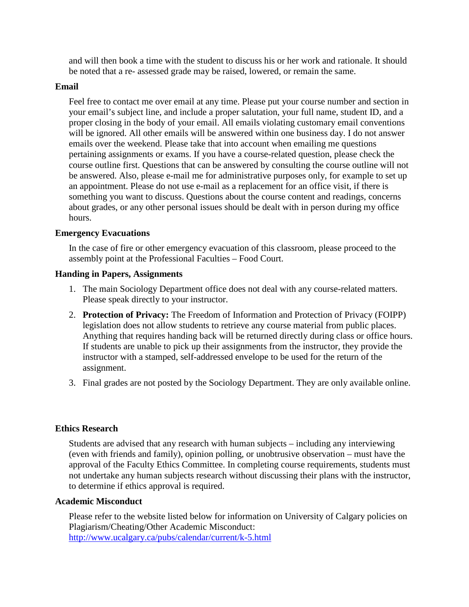and will then book a time with the student to discuss his or her work and rationale. It should be noted that a re- assessed grade may be raised, lowered, or remain the same.

### **Email**

Feel free to contact me over email at any time. Please put your course number and section in your email's subject line, and include a proper salutation, your full name, student ID, and a proper closing in the body of your email. All emails violating customary email conventions will be ignored. All other emails will be answered within one business day. I do not answer emails over the weekend. Please take that into account when emailing me questions pertaining assignments or exams. If you have a course-related question, please check the course outline first. Questions that can be answered by consulting the course outline will not be answered. Also, please e-mail me for administrative purposes only, for example to set up an appointment. Please do not use e-mail as a replacement for an office visit, if there is something you want to discuss. Questions about the course content and readings, concerns about grades, or any other personal issues should be dealt with in person during my office hours.

#### **Emergency Evacuations**

In the case of fire or other emergency evacuation of this classroom, please proceed to the assembly point at the Professional Faculties – Food Court.

#### **Handing in Papers, Assignments**

- 1. The main Sociology Department office does not deal with any course-related matters. Please speak directly to your instructor.
- 2. **Protection of Privacy:** The Freedom of Information and Protection of Privacy (FOIPP) legislation does not allow students to retrieve any course material from public places. Anything that requires handing back will be returned directly during class or office hours. If students are unable to pick up their assignments from the instructor, they provide the instructor with a stamped, self-addressed envelope to be used for the return of the assignment.
- 3. Final grades are not posted by the Sociology Department. They are only available online.

#### **Ethics Research**

Students are advised that any research with human subjects – including any interviewing (even with friends and family), opinion polling, or unobtrusive observation – must have the approval of the Faculty Ethics Committee. In completing course requirements, students must not undertake any human subjects research without discussing their plans with the instructor, to determine if ethics approval is required.

#### **Academic Misconduct**

Please refer to the website listed below for information on University of Calgary policies on Plagiarism/Cheating/Other Academic Misconduct: <http://www.ucalgary.ca/pubs/calendar/current/k-5.html>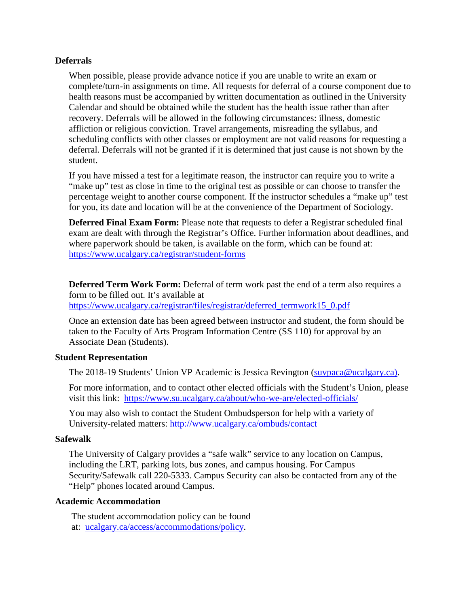## **Deferrals**

When possible, please provide advance notice if you are unable to write an exam or complete/turn-in assignments on time. All requests for deferral of a course component due to health reasons must be accompanied by written documentation as outlined in the University Calendar and should be obtained while the student has the health issue rather than after recovery. Deferrals will be allowed in the following circumstances: illness, domestic affliction or religious conviction. Travel arrangements, misreading the syllabus, and scheduling conflicts with other classes or employment are not valid reasons for requesting a deferral. Deferrals will not be granted if it is determined that just cause is not shown by the student.

If you have missed a test for a legitimate reason, the instructor can require you to write a "make up" test as close in time to the original test as possible or can choose to transfer the percentage weight to another course component. If the instructor schedules a "make up" test for you, its date and location will be at the convenience of the Department of Sociology.

**Deferred Final Exam Form:** Please note that requests to defer a Registrar scheduled final exam are dealt with through the Registrar's Office. Further information about deadlines, and where paperwork should be taken, is available on the form, which can be found at: <https://www.ucalgary.ca/registrar/student-forms>

**Deferred Term Work Form:** Deferral of term work past the end of a term also requires a form to be filled out. It's available at [https://www.ucalgary.ca/registrar/files/registrar/deferred\\_termwork15\\_0.pdf](https://www.ucalgary.ca/registrar/files/registrar/deferred_termwork15_0.pdf) 

Once an extension date has been agreed between instructor and student, the form should be taken to the Faculty of Arts Program Information Centre (SS 110) for approval by an Associate Dean (Students).

## **Student Representation**

The 2018-19 Students' Union VP Academic is Jessica Revington [\(suvpaca@ucalgary.ca\)](mailto:suvpaca@ucalgary.ca).

For more information, and to contact other elected officials with the Student's Union, please visit this link: <https://www.su.ucalgary.ca/about/who-we-are/elected-officials/>

You may also wish to contact the Student Ombudsperson for help with a variety of University-related matters:<http://www.ucalgary.ca/ombuds/contact>

#### **Safewalk**

The University of Calgary provides a "safe walk" service to any location on Campus, including the LRT, parking lots, bus zones, and campus housing. For Campus Security/Safewalk call 220-5333. Campus Security can also be contacted from any of the "Help" phones located around Campus.

#### **Academic Accommodation**

The student accommodation policy can be found at: [ucalgary.ca/access/accommodations/policy.](http://www.ucalgary.ca/access/accommodations/policy)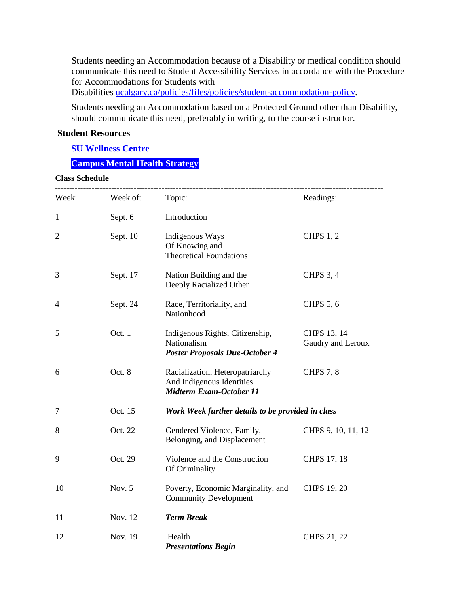Students needing an Accommodation because of a Disability or medical condition should communicate this need to Student Accessibility Services in accordance with the Procedure for Accommodations for Students with

Disabilities [ucalgary.ca/policies/files/policies/student-accommodation-policy.](http://www.ucalgary.ca/policies/files/policies/student-accommodation-policy.pdf)

Students needing an Accommodation based on a Protected Ground other than Disability, should communicate this need, preferably in writing, to the course instructor.

#### **Student Resources**

**[SU Wellness Centre](http://www.ucalgary.ca/wellnesscentre/)**

# **[Campus Mental Health Strategy](https://www.ucalgary.ca/mentalhealth/)**

#### **Class Schedule**

|                |                      | Week: Week of: Topic:                                                                          | Readings:<br>------------------- |
|----------------|----------------------|------------------------------------------------------------------------------------------------|----------------------------------|
| $\mathbf{1}$   | Sept. 6 Introduction |                                                                                                |                                  |
| $\overline{2}$ | Sept. 10             | Indigenous Ways<br>Of Knowing and<br><b>Theoretical Foundations</b>                            | <b>CHPS 1, 2</b>                 |
| 3              | Sept. 17             | Nation Building and the<br>Deeply Racialized Other                                             | <b>CHPS 3, 4</b>                 |
| 4              | Sept. 24             | Race, Territoriality, and<br>Nationhood                                                        | <b>CHPS 5, 6</b>                 |
| 5              | Oct. 1               | Indigenous Rights, Citizenship,<br>Nationalism<br><b>Poster Proposals Due-October 4</b>        | CHPS 13, 14<br>Gaudry and Leroux |
| 6              | Oct. 8               | Racialization, Heteropatriarchy<br>And Indigenous Identities<br><b>Midterm Exam-October 11</b> | <b>CHPS 7, 8</b>                 |
| 7              | Oct. 15              | Work Week further details to be provided in class                                              |                                  |
| 8              | Oct. 22              | Gendered Violence, Family,<br>Belonging, and Displacement                                      | CHPS 9, 10, 11, 12               |
| 9              | Oct. 29              | Violence and the Construction<br>Of Criminality                                                | CHPS 17, 18                      |
| 10             | Nov. 5               | Poverty, Economic Marginality, and<br><b>Community Development</b>                             | CHPS 19, 20                      |
| 11             | Nov. 12              | <b>Term Break</b>                                                                              |                                  |
| 12             | Nov. 19              | Health<br><b>Presentations Begin</b>                                                           | <b>CHPS 21, 22</b>               |